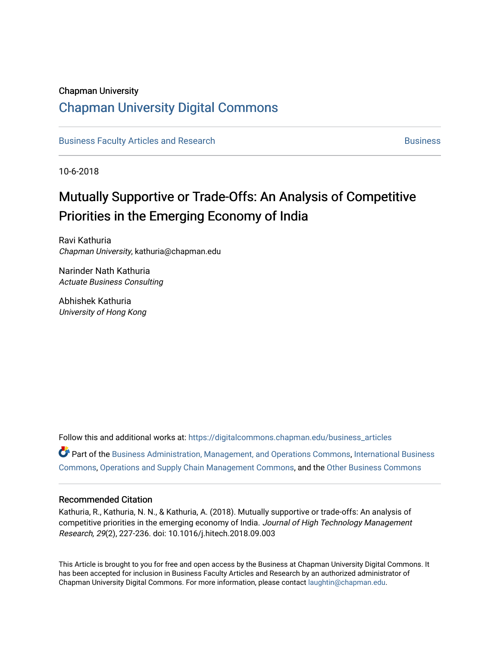### Chapman University

## [Chapman University Digital Commons](https://digitalcommons.chapman.edu/)

[Business Faculty Articles and Research](https://digitalcommons.chapman.edu/business_articles) [Business](https://digitalcommons.chapman.edu/business) **Business** Business

10-6-2018

# Mutually Supportive or Trade-Offs: An Analysis of Competitive Priorities in the Emerging Economy of India

Ravi Kathuria Chapman University, kathuria@chapman.edu

Narinder Nath Kathuria Actuate Business Consulting

Abhishek Kathuria University of Hong Kong

Follow this and additional works at: [https://digitalcommons.chapman.edu/business\\_articles](https://digitalcommons.chapman.edu/business_articles?utm_source=digitalcommons.chapman.edu%2Fbusiness_articles%2F76&utm_medium=PDF&utm_campaign=PDFCoverPages)  **P** Part of the [Business Administration, Management, and Operations Commons](http://network.bepress.com/hgg/discipline/623?utm_source=digitalcommons.chapman.edu%2Fbusiness_articles%2F76&utm_medium=PDF&utm_campaign=PDFCoverPages), International Business [Commons](http://network.bepress.com/hgg/discipline/634?utm_source=digitalcommons.chapman.edu%2Fbusiness_articles%2F76&utm_medium=PDF&utm_campaign=PDFCoverPages), [Operations and Supply Chain Management Commons](http://network.bepress.com/hgg/discipline/1229?utm_source=digitalcommons.chapman.edu%2Fbusiness_articles%2F76&utm_medium=PDF&utm_campaign=PDFCoverPages), and the [Other Business Commons](http://network.bepress.com/hgg/discipline/647?utm_source=digitalcommons.chapman.edu%2Fbusiness_articles%2F76&utm_medium=PDF&utm_campaign=PDFCoverPages)

### Recommended Citation

Kathuria, R., Kathuria, N. N., & Kathuria, A. (2018). Mutually supportive or trade-offs: An analysis of competitive priorities in the emerging economy of India. Journal of High Technology Management Research, 29(2), 227-236. doi: 10.1016/j.hitech.2018.09.003

This Article is brought to you for free and open access by the Business at Chapman University Digital Commons. It has been accepted for inclusion in Business Faculty Articles and Research by an authorized administrator of Chapman University Digital Commons. For more information, please contact [laughtin@chapman.edu](mailto:laughtin@chapman.edu).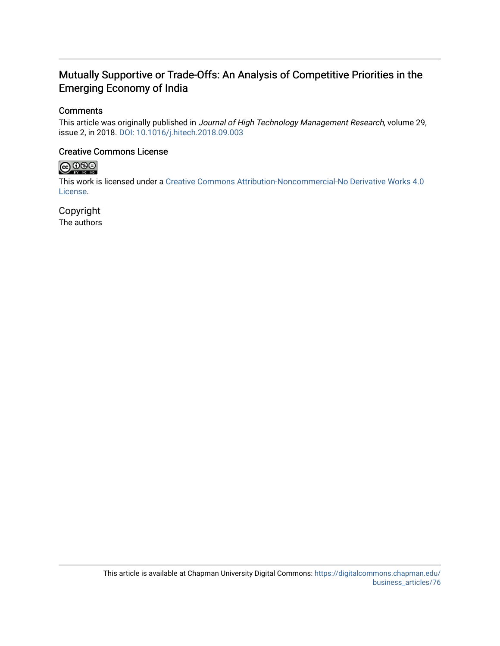## Mutually Supportive or Trade-Offs: An Analysis of Competitive Priorities in the Emerging Economy of India

## **Comments**

This article was originally published in Journal of High Technology Management Research, volume 29, issue 2, in 2018. [DOI: 10.1016/j.hitech.2018.09.003](https://doi.org/10.1016/j.hitech.2018.09.003)

### Creative Commons License



This work is licensed under a [Creative Commons Attribution-Noncommercial-No Derivative Works 4.0](https://creativecommons.org/licenses/by-nc-nd/4.0/) [License](https://creativecommons.org/licenses/by-nc-nd/4.0/).

Copyright The authors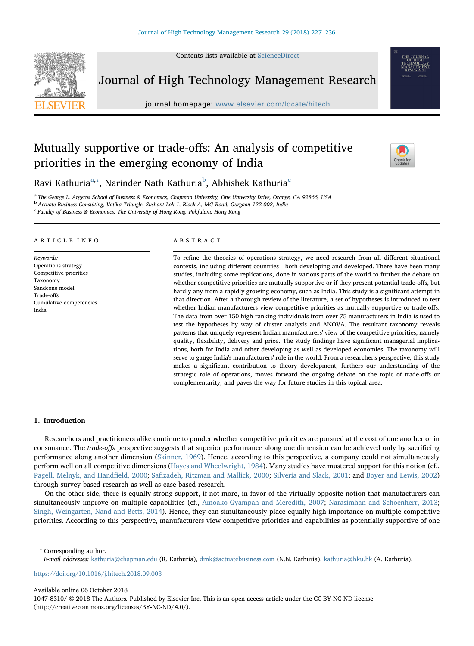Contents lists available at [ScienceDirect](http://www.sciencedirect.com/science/journal/10478310)



Journal of High Technology Management Research

journal homepage: [www.elsevier.com/locate/hitech](https://www.elsevier.com/locate/hitech)

## Mutually supportive or trade-offs: An analysis of competitive priorities in the emerging economy of India



Ravi Kathuria<sup>[a,](#page-2-0)</sup>\*, Narinder Nath Kathuria<sup>[b](#page-2-2)</sup>, Abhishek Kathuria<sup>[c](#page-2-3)</sup>

<span id="page-2-0"></span>a The George L. Argyros School of Business & Economics, Chapman University, One University Drive, Orange, CA 92866, USA

<span id="page-2-2"></span><sup>b</sup> Actuate Business Consulting, Vatika Triangle, Sushant Lok-1, Block-A, MG Road, Gurgaon 122 002, India

<span id="page-2-3"></span>c Faculty of Business & Economics, The University of Hong Kong, Pokfulam, Hong Kong

#### ARTICLE INFO

Keywords: Operations strategy Competitive priorities Taxonomy Sandcone model Trade-offs Cumulative competencies India

#### ABSTRACT

To refine the theories of operations strategy, we need research from all different situational contexts, including different countries—both developing and developed. There have been many studies, including some replications, done in various parts of the world to further the debate on whether competitive priorities are mutually supportive or if they present potential trade-offs, but hardly any from a rapidly growing economy, such as India. This study is a significant attempt in that direction. After a thorough review of the literature, a set of hypotheses is introduced to test whether Indian manufacturers view competitive priorities as mutually supportive or trade-offs. The data from over 150 high-ranking individuals from over 75 manufacturers in India is used to test the hypotheses by way of cluster analysis and ANOVA. The resultant taxonomy reveals patterns that uniquely represent Indian manufacturers' view of the competitive priorities, namely quality, flexibility, delivery and price. The study findings have significant managerial implications, both for India and other developing as well as developed economies. The taxonomy will serve to gauge India's manufacturers' role in the world. From a researcher's perspective, this study makes a significant contribution to theory development, furthers our understanding of the strategic role of operations, moves forward the ongoing debate on the topic of trade-offs or complementarity, and paves the way for future studies in this topical area.

#### 1. Introduction

Researchers and practitioners alike continue to ponder whether competitive priorities are pursued at the cost of one another or in consonance. The *trade-offs* perspective suggests that superior performance along one dimension can be achieved only by sacrificing performance along another dimension ([Skinner, 1969\)](#page-11-0). Hence, according to this perspective, a company could not simultaneously perform well on all competitive dimensions [\(Hayes and Wheelwright, 1984](#page-10-0)). Many studies have mustered support for this notion (cf., [Pagell, Melnyk, and Hand](#page-11-1)field, 2000; Safi[zadeh, Ritzman and Mallick, 2000](#page-11-2); [Silveria and Slack, 2001](#page-11-3); and [Boyer and Lewis, 2002](#page-10-1)) through survey-based research as well as case-based research.

On the other side, there is equally strong support, if not more, in favor of the virtually opposite notion that manufacturers can simultaneously improve on multiple capabilities (cf., [Amoako-Gyampah and Meredith, 2007;](#page-10-2) [Narasimhan and Schoenherr, 2013;](#page-11-4) [Singh, Weingarten, Nand and Betts, 2014](#page-11-5)). Hence, they can simultaneously place equally high importance on multiple competitive priorities. According to this perspective, manufacturers view competitive priorities and capabilities as potentially supportive of one

<span id="page-2-1"></span>⁎ Corresponding author.

E-mail addresses: [kathuria@chapman.edu](mailto:kathuria@chapman.edu) (R. Kathuria), [drnk@actuatebusiness.com](mailto:drnk@actuatebusiness.com) (N.N. Kathuria), [kathuria@hku.hk](mailto:kathuria@hku.hk) (A. Kathuria).

<https://doi.org/10.1016/j.hitech.2018.09.003>

#### Available online 06 October 2018

1047-8310/ © 2018 The Authors. Published by Elsevier Inc. This is an open access article under the CC BY-NC-ND license (http://creativecommons.org/licenses/BY-NC-ND/4.0/).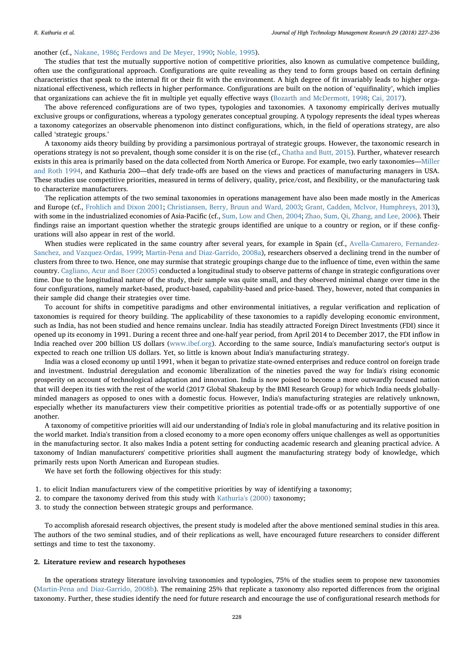#### another (cf., [Nakane, 1986;](#page-10-3) [Ferdows and De Meyer, 1990;](#page-10-4) [Noble, 1995](#page-11-6)).

The studies that test the mutually supportive notion of competitive priorities, also known as cumulative competence building, often use the configurational approach. Configurations are quite revealing as they tend to form groups based on certain defining characteristics that speak to the internal fit or their fit with the environment. A high degree of fit invariably leads to higher organizational effectiveness, which reflects in higher performance. Configurations are built on the notion of 'equifinality', which implies that organizations can achieve the fit in multiple yet equally effective ways [\(Bozarth and McDermott, 1998](#page-10-5); [Cai, 2017\)](#page-10-6).

The above referenced configurations are of two types, typologies and taxonomies. A taxonomy empirically derives mutually exclusive groups or configurations, whereas a typology generates conceptual grouping. A typology represents the ideal types whereas a taxonomy categorizes an observable phenomenon into distinct configurations, which, in the field of operations strategy, are also called 'strategic groups.'

A taxonomy aids theory building by providing a parsimonious portrayal of strategic groups. However, the taxonomic research in operations strategy is not so prevalent, though some consider it is on the rise (cf., [Chatha and Butt, 2015](#page-10-7)). Further, whatever research exists in this area is primarily based on the data collected from North America or Europe. For example, two early taxonomies—[Miller](#page-10-8) [and Roth 1994,](#page-10-8) and Kathuria 200—that defy trade-offs are based on the views and practices of manufacturing managers in USA. These studies use competitive priorities, measured in terms of delivery, quality, price/cost, and flexibility, or the manufacturing task to characterize manufacturers.

The replication attempts of the two seminal taxonomies in operations management have also been made mostly in the Americas and Europe (cf., [Frohlich and Dixon 2001](#page-10-9); [Christiansen, Berry, Bruun and Ward, 2003](#page-10-10); [Grant, Cadden, McIvor, Humphreys, 2013](#page-10-11)), with some in the industrialized economies of Asia-Pacific (cf., [Sum, Low and Chen, 2004;](#page-11-7) [Zhao, Sum, Qi, Zhang, and Lee, 2006](#page-11-8)). Their findings raise an important question whether the strategic groups identified are unique to a country or region, or if these configurations will also appear in rest of the world.

When studies were replicated in the same country after several years, for example in Spain (cf., [Avella-Camarero, Fernandez-](#page-10-12)[Sanchez, and Vazquez-Ordas, 1999;](#page-10-12) Martin-Pena [and Diaz-Garrido, 2008a](#page-10-13)), researchers observed a declining trend in the number of clusters from three to two. Hence, one may surmise that strategic groupings change due to the influence of time, even within the same country. [Cagliano, Acur and Boer \(2005\)](#page-10-14) conducted a longitudinal study to observe patterns of change in strategic configurations over time. Due to the longitudinal nature of the study, their sample was quite small, and they observed minimal change over time in the four configurations, namely market-based, product-based, capability-based and price-based. They, however, noted that companies in their sample did change their strategies over time.

To account for shifts in competitive paradigms and other environmental initiatives, a regular verification and replication of taxonomies is required for theory building. The applicability of these taxonomies to a rapidly developing economic environment, such as India, has not been studied and hence remains unclear. India has steadily attracted Foreign Direct Investments (FDI) since it opened up its economy in 1991. During a recent three and one-half year period, from April 2014 to December 2017, the FDI inflow in India reached over 200 billion US dollars [\(www.ibef.org](http://www.ibef.org)). According to the same source, India's manufacturing sector's output is expected to reach one trillion US dollars. Yet, so little is known about India's manufacturing strategy.

India was a closed economy up until 1991, when it began to privatize state-owned enterprises and reduce control on foreign trade and investment. Industrial deregulation and economic liberalization of the nineties paved the way for India's rising economic prosperity on account of technological adaptation and innovation. India is now poised to become a more outwardly focused nation that will deepen its ties with the rest of the world (2017 Global Shakeup by the BMI Research Group) for which India needs globallyminded managers as opposed to ones with a domestic focus. However, India's manufacturing strategies are relatively unknown, especially whether its manufacturers view their competitive priorities as potential trade-offs or as potentially supportive of one another.

A taxonomy of competitive priorities will aid our understanding of India's role in global manufacturing and its relative position in the world market. India's transition from a closed economy to a more open economy offers unique challenges as well as opportunities in the manufacturing sector. It also makes India a potent setting for conducting academic research and gleaning practical advice. A taxonomy of Indian manufacturers' competitive priorities shall augment the manufacturing strategy body of knowledge, which primarily rests upon North American and European studies.

We have set forth the following objectives for this study:

- 1. to elicit Indian manufacturers view of the competitive priorities by way of identifying a taxonomy;
- 2. to compare the taxonomy derived from this study with [Kathuria's \(2000\)](#page-10-15) taxonomy;
- 3. to study the connection between strategic groups and performance.

To accomplish aforesaid research objectives, the present study is modeled after the above mentioned seminal studies in this area. The authors of the two seminal studies, and of their replications as well, have encouraged future researchers to consider different settings and time to test the taxonomy.

#### 2. Literature review and research hypotheses

In the operations strategy literature involving taxonomies and typologies, 75% of the studies seem to propose new taxonomies ([Martin-Pena and Diaz-Garrido, 2008b\)](#page-10-16). The remaining 25% that replicate a taxonomy also reported differences from the original taxonomy. Further, these studies identify the need for future research and encourage the use of configurational research methods for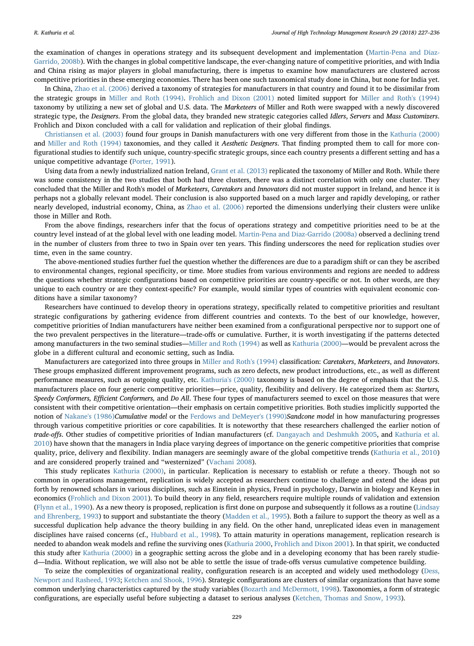the examination of changes in operations strategy and its subsequent development and implementation ([Martin-Pena and Diaz-](#page-10-16)[Garrido, 2008b\)](#page-10-16). With the changes in global competitive landscape, the ever-changing nature of competitive priorities, and with India and China rising as major players in global manufacturing, there is impetus to examine how manufacturers are clustered across competitive priorities in these emerging economies. There has been one such taxonomical study done in China, but none for India yet.

In China, [Zhao et al. \(2006\)](#page-11-8) derived a taxonomy of strategies for manufacturers in that country and found it to be dissimilar from the strategic groups in [Miller and Roth \(1994\)](#page-10-8). [Frohlich and Dixon \(2001\)](#page-10-9) noted limited support for [Miller and Roth's \(1994\)](#page-10-8) taxonomy by utilizing a new set of global and U.S. data. The Marketeers of Miller and Roth were swapped with a newly discovered strategic type, the Designers. From the global data, they branded new strategic categories called Idlers, Servers and Mass Customizers. Frohlich and Dixon concluded with a call for validation and replication of their global findings.

[Christiansen et al. \(2003\)](#page-10-10) found four groups in Danish manufacturers with one very different from those in the [Kathuria \(2000\)](#page-10-15) and [Miller and Roth \(1994\)](#page-10-8) taxonomies, and they called it Aesthetic Designers. That finding prompted them to call for more configurational studies to identify such unique, country-specific strategic groups, since each country presents a different setting and has a unique competitive advantage ([Porter, 1991\)](#page-11-9).

Using data from a newly industrialized nation Ireland, [Grant et al. \(2013\)](#page-10-11) replicated the taxonomy of Miller and Roth. While there was some consistency in the two studies that both had three clusters, there was a distinct correlation with only one cluster. They concluded that the Miller and Roth's model of Marketeers, Caretakers and Innovators did not muster support in Ireland, and hence it is perhaps not a globally relevant model. Their conclusion is also supported based on a much larger and rapidly developing, or rather nearly developed, industrial economy, China, as [Zhao et al. \(2006\)](#page-11-8) reported the dimensions underlying their clusters were unlike those in Miller and Roth.

From the above findings, researchers infer that the focus of operations strategy and competitive priorities need to be at the country level instead of at the global level with one leading model. [Martin-Pena and Diaz-Garrido \(2008a\)](#page-10-13) observed a declining trend in the number of clusters from three to two in Spain over ten years. This finding underscores the need for replication studies over time, even in the same country.

The above-mentioned studies further fuel the question whether the differences are due to a paradigm shift or can they be ascribed to environmental changes, regional specificity, or time. More studies from various environments and regions are needed to address the questions whether strategic configurations based on competitive priorities are country-specific or not. In other words, are they unique to each country or are they context-specific? For example, would similar types of countries with equivalent economic conditions have a similar taxonomy?

Researchers have continued to develop theory in operations strategy, specifically related to competitive priorities and resultant strategic configurations by gathering evidence from different countries and contexts. To the best of our knowledge, however, competitive priorities of Indian manufacturers have neither been examined from a configurational perspective nor to support one of the two prevalent perspectives in the literature—trade-offs or cumulative. Further, it is worth investigating if the patterns detected among manufacturers in the two seminal studies—[Miller and Roth \(1994\)](#page-10-8) as well as [Kathuria \(2000\)](#page-10-15)—would be prevalent across the globe in a different cultural and economic setting, such as India.

Manufacturers are categorized into three groups in [Miller and Roth's \(1994\)](#page-10-8) classification: Caretakers, Marketeers, and Innovators. These groups emphasized different improvement programs, such as zero defects, new product introductions, etc., as well as different performance measures, such as outgoing quality, etc. [Kathuria's \(2000\)](#page-10-15) taxonomy is based on the degree of emphasis that the U.S. manufacturers place on four generic competitive priorities—price, quality, flexibility and delivery. He categorized them as: Starters, Speedy Conformers, Efficient Conformers, and Do All. These four types of manufacturers seemed to excel on those measures that were consistent with their competitive orientation—their emphasis on certain competitive priorities. Both studies implicitly supported the notion of [Nakane's \(1986\)](#page-10-3)Cumulative model or the [Ferdows and DeMeyer's \(1990\)](#page-10-4)Sandcone model in how manufacturing progresses through various competitive priorities or core capabilities. It is noteworthy that these researchers challenged the earlier notion of trade-offs. Other studies of competitive priorities of Indian manufacturers (cf. [Dangayach and Deshmukh 2005](#page-10-17), and [Kathuria et al.](#page-10-18) [2010\)](#page-10-18) have shown that the managers in India place varying degrees of importance on the generic competitive priorities that comprise quality, price, delivery and flexibility. Indian managers are seemingly aware of the global competitive trends [\(Kathuria et al., 2010](#page-10-18)) and are considered properly trained and "westernized" [\(Vachani 2008\)](#page-11-10).

This study replicates [Kathuria \(2000\)](#page-10-15), in particular. Replication is necessary to establish or refute a theory. Though not so common in operations management, replication is widely accepted as researchers continue to challenge and extend the ideas put forth by renowned scholars in various disciplines, such as Einstein in physics, Freud in psychology, Darwin in biology and Keynes in economics [\(Frohlich and Dixon 2001\)](#page-10-9). To build theory in any field, researchers require multiple rounds of validation and extension ([Flynn et al., 1990](#page-10-19)). As a new theory is proposed, replication is first done on purpose and subsequently it follows as a routine [\(Lindsay](#page-10-20) [and Ehrenberg, 1993](#page-10-20)) to support and substantiate the theory ([Madden et al., 1995\)](#page-10-21). Both a failure to support the theory as well as a successful duplication help advance the theory building in any field. On the other hand, unreplicated ideas even in management disciplines have raised concerns (cf., [Hubbard et al., 1998\)](#page-10-22). To attain maturity in operations management, replication research is needed to abandon weak models and refine the surviving ones ([Kathuria 2000](#page-10-15), [Frohlich and Dixon 2001](#page-10-9)). In that spirit, we conducted this study after [Kathuria \(2000\)](#page-10-15) in a geographic setting across the globe and in a developing economy that has been rarely studied—India. Without replication, we will also not be able to settle the issue of trade-offs versus cumulative competence building.

To seize the complexities of organizational reality, configuration research is an accepted and widely used methodology [\(Dess,](#page-10-23) [Newport and Rasheed, 1993](#page-10-23); [Ketchen and Shook, 1996](#page-10-24)). Strategic configurations are clusters of similar organizations that have some common underlying characteristics captured by the study variables [\(Bozarth and McDermott, 1998\)](#page-10-5). Taxonomies, a form of strategic configurations, are especially useful before subjecting a dataset to serious analyses [\(Ketchen, Thomas and Snow, 1993\)](#page-10-25).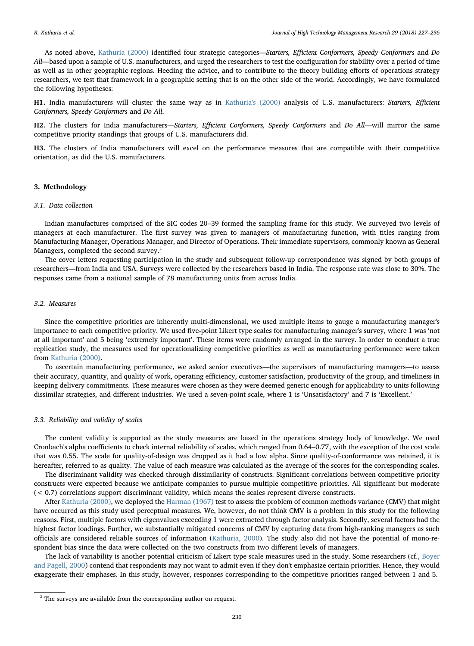As noted above, [Kathuria \(2000\)](#page-10-15) identified four strategic categories—Starters, Efficient Conformers, Speedy Conformers and Do All—based upon a sample of U.S. manufacturers, and urged the researchers to test the configuration for stability over a period of time as well as in other geographic regions. Heeding the advice, and to contribute to the theory building efforts of operations strategy researchers, we test that framework in a geographic setting that is on the other side of the world. Accordingly, we have formulated the following hypotheses:

H1. India manufacturers will cluster the same way as in [Kathuria's \(2000\)](#page-10-15) analysis of U.S. manufacturers: Starters, Efficient Conformers, Speedy Conformers and Do All.

H2. The clusters for India manufacturers—Starters, Efficient Conformers, Speedy Conformers and Do All—will mirror the same competitive priority standings that groups of U.S. manufacturers did.

H3. The clusters of India manufacturers will excel on the performance measures that are compatible with their competitive orientation, as did the U.S. manufacturers.

#### 3. Methodology

#### 3.1. Data collection

Indian manufactures comprised of the SIC codes 20–39 formed the sampling frame for this study. We surveyed two levels of managers at each manufacturer. The first survey was given to managers of manufacturing function, with titles ranging from Manufacturing Manager, Operations Manager, and Director of Operations. Their immediate supervisors, commonly known as General Managers, completed the second survey. $<sup>1</sup>$  $<sup>1</sup>$  $<sup>1</sup>$ </sup>

The cover letters requesting participation in the study and subsequent follow-up correspondence was signed by both groups of researchers—from India and USA. Surveys were collected by the researchers based in India. The response rate was close to 30%. The responses came from a national sample of 78 manufacturing units from across India.

#### 3.2. Measures

Since the competitive priorities are inherently multi-dimensional, we used multiple items to gauge a manufacturing manager's importance to each competitive priority. We used five-point Likert type scales for manufacturing manager's survey, where 1 was 'not at all important' and 5 being 'extremely important'. These items were randomly arranged in the survey. In order to conduct a true replication study, the measures used for operationalizing competitive priorities as well as manufacturing performance were taken from [Kathuria \(2000\).](#page-10-15)

To ascertain manufacturing performance, we asked senior executives—the supervisors of manufacturing managers—to assess their accuracy, quantity, and quality of work, operating efficiency, customer satisfaction, productivity of the group, and timeliness in keeping delivery commitments. These measures were chosen as they were deemed generic enough for applicability to units following dissimilar strategies, and different industries. We used a seven-point scale, where 1 is 'Unsatisfactory' and 7 is 'Excellent.'

#### 3.3. Reliability and validity of scales

The content validity is supported as the study measures are based in the operations strategy body of knowledge. We used Cronbach's alpha coefficients to check internal reliability of scales, which ranged from 0.64–0.77, with the exception of the cost scale that was 0.55. The scale for quality-of-design was dropped as it had a low alpha. Since quality-of-conformance was retained, it is hereafter, referred to as quality. The value of each measure was calculated as the average of the scores for the corresponding scales.

The discriminant validity was checked through dissimilarity of constructs. Significant correlations between competitive priority constructs were expected because we anticipate companies to pursue multiple competitive priorities. All significant but moderate  $( $0.7$ ) correlations support discriminant validity, which means the scales represent diverse constructs.$ 

After [Kathuria \(2000\),](#page-10-15) we deployed the [Harman \(1967\)](#page-10-26) test to assess the problem of common methods variance (CMV) that might have occurred as this study used perceptual measures. We, however, do not think CMV is a problem in this study for the following reasons. First, multiple factors with eigenvalues exceeding 1 were extracted through factor analysis. Secondly, several factors had the highest factor loadings. Further, we substantially mitigated concerns of CMV by capturing data from high-ranking managers as such officials are considered reliable sources of information ([Kathuria, 2000](#page-10-15)). The study also did not have the potential of mono-respondent bias since the data were collected on the two constructs from two different levels of managers.

The lack of variability is another potential criticism of Likert type scale measures used in the study. Some researchers (cf., [Boyer](#page-10-27) [and Pagell, 2000\)](#page-10-27) contend that respondents may not want to admit even if they don't emphasize certain priorities. Hence, they would exaggerate their emphases. In this study, however, responses corresponding to the competitive priorities ranged between 1 and 5.

<span id="page-5-0"></span> $^{\rm 1}$  The surveys are available from the corresponding author on request.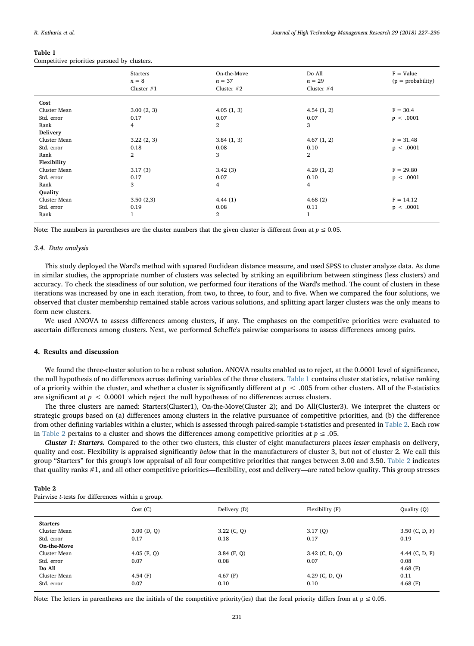#### <span id="page-6-0"></span>Table 1

Competitive priorities pursued by clusters.

| $F = Value$<br>$(p = probability)$<br>$n = 29$ |
|------------------------------------------------|
| Cluster $#4$                                   |
|                                                |
| $F = 30.4$<br>4.54(1, 2)                       |
| p < .0001                                      |
|                                                |
|                                                |
| $F = 31.48$<br>4.67(1, 2)                      |
| p < .0001                                      |
|                                                |
|                                                |
| $F = 29.80$<br>4.29(1, 2)                      |
| p < .0001                                      |
|                                                |
|                                                |
| 4.68(2)<br>$F = 14.12$                         |
| p < .0001                                      |
|                                                |
|                                                |

Note: The numbers in parentheses are the cluster numbers that the given cluster is different from at  $p \le 0.05$ .

#### 3.4. Data analysis

This study deployed the Ward's method with squared Euclidean distance measure, and used SPSS to cluster analyze data. As done in similar studies, the appropriate number of clusters was selected by striking an equilibrium between stinginess (less clusters) and accuracy. To check the steadiness of our solution, we performed four iterations of the Ward's method. The count of clusters in these iterations was increased by one in each iteration, from two, to three, to four, and to five. When we compared the four solutions, we observed that cluster membership remained stable across various solutions, and splitting apart larger clusters was the only means to form new clusters.

We used ANOVA to assess differences among clusters, if any. The emphases on the competitive priorities were evaluated to ascertain differences among clusters. Next, we performed Scheffe's pairwise comparisons to assess differences among pairs.

#### 4. Results and discussion

We found the three-cluster solution to be a robust solution. ANOVA results enabled us to reject, at the 0.0001 level of significance, the null hypothesis of no differences across defining variables of the three clusters. [Table 1](#page-6-0) contains cluster statistics, relative ranking of a priority within the cluster, and whether a cluster is significantly different at  $p < .005$  from other clusters. All of the F-statistics are significant at  $p < 0.0001$  which reject the null hypotheses of no differences across clusters.

The three clusters are named: Starters(Cluster1), On-the-Move(Cluster 2); and Do All(Cluster3). We interpret the clusters or strategic groups based on (a) differences among clusters in the relative pursuance of competitive priorities, and (b) the difference from other defining variables within a cluster, which is assessed through paired-sample t-statistics and presented in [Table 2](#page-6-1). Each row in [Table 2](#page-6-1) pertains to a cluster and shows the differences among competitive priorities at  $p \leq .05$ .

Cluster 1: Starters. Compared to the other two clusters, this cluster of eight manufacturers places lesser emphasis on delivery, quality and cost. Flexibility is appraised significantly below that in the manufacturers of cluster 3, but not of cluster 2. We call this group "Starters" for this group's low appraisal of all four competitive priorities that ranges between 3.00 and 3.50. [Table 2](#page-6-1) indicates that quality ranks #1, and all other competitive priorities—flexibility, cost and delivery—are rated below quality. This group stresses

<span id="page-6-1"></span>

| Table 2                                                  |  |  |  |
|----------------------------------------------------------|--|--|--|
| Pairwise <i>t</i> -tests for differences within a group. |  |  |  |

|                 | Cost(G)       | Delivery (D)  | Flexibility (F)  | Quality (Q)      |
|-----------------|---------------|---------------|------------------|------------------|
| <b>Starters</b> |               |               |                  |                  |
| Cluster Mean    | $3.00$ (D, Q) | $3.22$ (C, Q) | 3.17(Q)          | $3.50$ (C, D, F) |
| Std. error      | 0.17          | 0.18          | 0.17             | 0.19             |
| On-the-Move     |               |               |                  |                  |
| Cluster Mean    | $4.05$ (F, Q) | $3.84$ (F, Q) | $3.42$ (C, D, Q) | 4.44 $(C, D, F)$ |
| Std. error      | 0.07          | 0.08          | 0.07             | 0.08             |
| Do All          |               |               |                  | 4.68 $(F)$       |
| Cluster Mean    | 4.54 $(F)$    | 4.67 $(F)$    | 4.29 $(C, D, Q)$ | 0.11             |
| Std. error      | 0.07          | 0.10          | 0.10             | 4.68 $(F)$       |

Note: The letters in parentheses are the initials of the competitive priority(ies) that the focal priority differs from at  $p \le 0.05$ .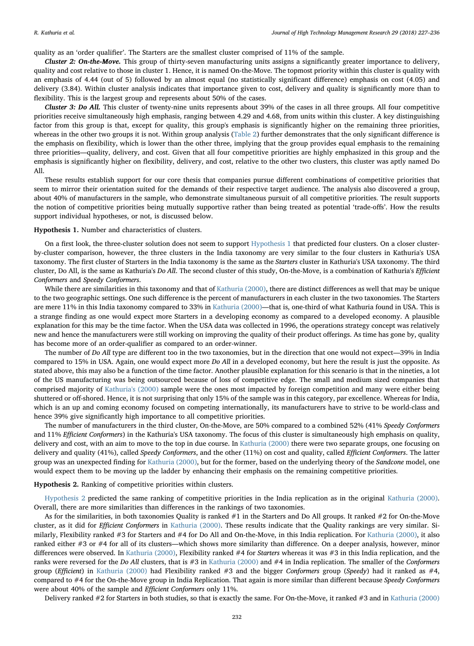quality as an 'order qualifier'. The Starters are the smallest cluster comprised of 11% of the sample.

Cluster 2: On-the-Move. This group of thirty-seven manufacturing units assigns a significantly greater importance to delivery, quality and cost relative to those in cluster 1. Hence, it is named On-the-Move. The topmost priority within this cluster is quality with an emphasis of 4.44 (out of 5) followed by an almost equal (no statistically significant difference) emphasis on cost (4.05) and delivery (3.84). Within cluster analysis indicates that importance given to cost, delivery and quality is significantly more than to flexibility. This is the largest group and represents about 50% of the cases.

Cluster 3: Do All. This cluster of twenty-nine units represents about 39% of the cases in all three groups. All four competitive priorities receive simultaneously high emphasis, ranging between 4.29 and 4.68, from units within this cluster. A key distinguishing factor from this group is that, except for quality, this group's emphasis is significantly higher on the remaining three priorities, whereas in the other two groups it is not. Within group analysis ([Table 2\)](#page-6-1) further demonstrates that the only significant difference is the emphasis on flexibility, which is lower than the other three, implying that the group provides equal emphasis to the remaining three priorities—quality, delivery, and cost. Given that all four competitive priorities are highly emphasized in this group and the emphasis is significantly higher on flexibility, delivery, and cost, relative to the other two clusters, this cluster was aptly named Do All.

These results establish support for our core thesis that companies pursue different combinations of competitive priorities that seem to mirror their orientation suited for the demands of their respective target audience. The analysis also discovered a group, about 40% of manufacturers in the sample, who demonstrate simultaneous pursuit of all competitive priorities. The result supports the notion of competitive priorities being mutually supportive rather than being treated as potential 'trade-offs'. How the results support individual hypotheses, or not, is discussed below.

#### <span id="page-7-0"></span>Hypothesis 1. Number and characteristics of clusters.

On a first look, the three-cluster solution does not seem to support [Hypothesis 1](#page-7-0) that predicted four clusters. On a closer clusterby-cluster comparison, however, the three clusters in the India taxonomy are very similar to the four clusters in Kathuria's USA taxonomy. The first cluster of Starters in the India taxonomy is the same as the Starters cluster in Kathuria's USA taxonomy. The third cluster, Do All, is the same as Kathuria's Do All. The second cluster of this study, On-the-Move, is a combination of Kathuria's Efficient Conformers and Speedy Conformers.

While there are similarities in this taxonomy and that of [Kathuria \(2000\),](#page-10-15) there are distinct differences as well that may be unique to the two geographic settings. One such difference is the percent of manufacturers in each cluster in the two taxonomies. The Starters are mere 11% in this India taxonomy compared to 33% in [Kathuria \(2000\)](#page-10-15)—that is, one-third of what Kathuria found in USA. This is a strange finding as one would expect more Starters in a developing economy as compared to a developed economy. A plausible explanation for this may be the time factor. When the USA data was collected in 1996, the operations strategy concept was relatively new and hence the manufacturers were still working on improving the quality of their product offerings. As time has gone by, quality has become more of an order-qualifier as compared to an order-winner.

The number of *Do All* type are different too in the two taxonomies, but in the direction that one would not expect—39% in India compared to 15% in USA. Again, one would expect more Do All in a developed economy, but here the result is just the opposite. As stated above, this may also be a function of the time factor. Another plausible explanation for this scenario is that in the nineties, a lot of the US manufacturing was being outsourced because of loss of competitive edge. The small and medium sized companies that comprised majority of [Kathuria's \(2000\)](#page-10-15) sample were the ones most impacted by foreign competition and many were either being shuttered or off-shored. Hence, it is not surprising that only 15% of the sample was in this category, par excellence. Whereas for India, which is an up and coming economy focused on competing internationally, its manufacturers have to strive to be world-class and hence 39% give significantly high importance to all competitive priorities.

The number of manufacturers in the third cluster, On-the-Move, are 50% compared to a combined 52% (41% Speedy Conformers and 11% Efficient Conformers) in the Kathuria's USA taxonomy. The focus of this cluster is simultaneously high emphasis on quality, delivery and cost, with an aim to move to the top in due course. In [Kathuria \(2000\)](#page-10-15) there were two separate groups, one focusing on delivery and quality (41%), called Speedy Conformers, and the other (11%) on cost and quality, called Efficient Conformers. The latter group was an unexpected finding for [Kathuria \(2000\)](#page-10-15), but for the former, based on the underlying theory of the Sandcone model, one would expect them to be moving up the ladder by enhancing their emphasis on the remaining competitive priorities.

<span id="page-7-1"></span>Hypothesis 2. Ranking of competitive priorities within clusters.

[Hypothesis 2](#page-7-1) predicted the same ranking of competitive priorities in the India replication as in the original [Kathuria \(2000\).](#page-10-15) Overall, there are more similarities than differences in the rankings of two taxonomies.

As for the similarities, in both taxonomies Quality is ranked #1 in the Starters and Do All groups. It ranked #2 for On-the-Move cluster, as it did for Efficient Conformers in [Kathuria \(2000\).](#page-10-15) These results indicate that the Quality rankings are very similar. Similarly, Flexibility ranked #3 for Starters and #4 for Do All and On-the-Move, in this India replication. For [Kathuria \(2000\)](#page-10-15), it also ranked either #3 or #4 for all of its clusters—which shows more similarity than difference. On a deeper analysis, however, minor differences were observed. In [Kathuria \(2000\),](#page-10-15) Flexibility ranked #4 for Starters whereas it was #3 in this India replication, and the ranks were reversed for the *Do All* clusters, that is  $#3$  in [Kathuria \(2000\)](#page-10-15) and  $#4$  in India replication. The smaller of the Conformers group (Efficient) in [Kathuria \(2000\)](#page-10-15) had Flexibility ranked #3 and the bigger Conformers group (Speedy) had it ranked as #4, compared to #4 for the On-the-Move group in India Replication. That again is more similar than different because Speedy Conformers were about 40% of the sample and Efficient Conformers only 11%.

Delivery ranked #2 for Starters in both studies, so that is exactly the same. For On-the-Move, it ranked #3 and in [Kathuria \(2000\)](#page-10-15)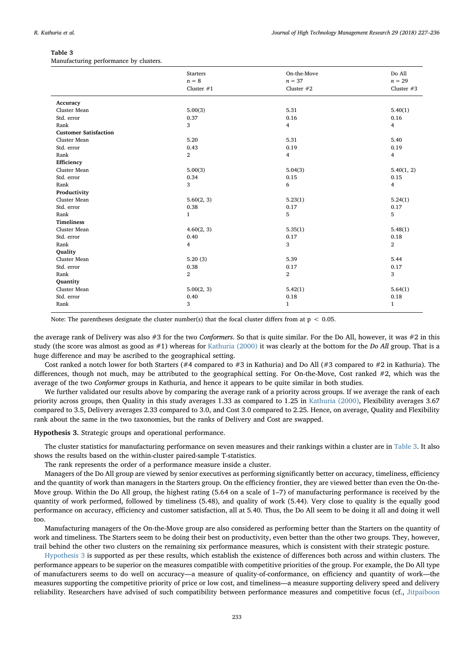#### <span id="page-8-0"></span>Table 3

Manufacturing performance by clusters.

|                              | <b>Starters</b> | On-the-Move    | Do All         |
|------------------------------|-----------------|----------------|----------------|
|                              | $n = 8$         | $n = 37$       | $n = 29$       |
|                              | Cluster $#1$    | Cluster $#2$   | Cluster $#3$   |
| Accuracy                     |                 |                |                |
| Cluster Mean                 | 5.00(3)         | 5.31           | 5.40(1)        |
| Std. error                   | 0.37            | 0.16           | 0.16           |
| Rank                         | 3               | $\overline{4}$ | $\overline{4}$ |
| <b>Customer Satisfaction</b> |                 |                |                |
| Cluster Mean                 | 5.20            | 5.31           | 5.40           |
| Std. error                   | 0.43            | 0.19           | 0.19           |
| Rank                         | $\overline{2}$  | $\overline{4}$ | $\overline{4}$ |
| Efficiency                   |                 |                |                |
| Cluster Mean                 | 5.00(3)         | 5.04(3)        | 5.40(1, 2)     |
| Std. error                   | 0.34            | 0.15           | 0.15           |
| Rank                         | 3               | 6              | 4              |
| Productivity                 |                 |                |                |
| Cluster Mean                 | 5.60(2, 3)      | 5.23(1)        | 5.24(1)        |
| Std. error                   | 0.38            | 0.17           | 0.17           |
| Rank                         | $\mathbf{1}$    | 5              | 5              |
| <b>Timeliness</b>            |                 |                |                |
| Cluster Mean                 | 4.60(2, 3)      | 5.35(1)        | 5.48(1)        |
| Std. error                   | 0.40            | 0.17           | 0.18           |
| Rank                         | 4               | 3              | $\overline{2}$ |
| Quality                      |                 |                |                |
| Cluster Mean                 | 5.20(3)         | 5.39           | 5.44           |
| Std. error                   | 0.38            | 0.17           | 0.17           |
| Rank                         | $\overline{2}$  | $\overline{2}$ | 3              |
| Quantity                     |                 |                |                |
| Cluster Mean                 | 5.00(2, 3)      | 5.42(1)        | 5.64(1)        |
| Std. error                   | 0.40            | 0.18           | 0.18           |
| Rank                         | 3               | $\mathbf{1}$   | $\mathbf{1}$   |

Note: The parentheses designate the cluster number(s) that the focal cluster differs from at  $p < 0.05$ .

the average rank of Delivery was also #3 for the two Conformers. So that is quite similar. For the Do All, however, it was #2 in this study (the score was almost as good as  $#1$ ) whereas for [Kathuria \(2000\)](#page-10-15) it was clearly at the bottom for the Do All group. That is a huge difference and may be ascribed to the geographical setting.

Cost ranked a notch lower for both Starters (#4 compared to #3 in Kathuria) and Do All (#3 compared to #2 in Kathuria). The differences, though not much, may be attributed to the geographical setting. For On-the-Move, Cost ranked #2, which was the average of the two Conformer groups in Kathuria, and hence it appears to be quite similar in both studies.

We further validated our results above by comparing the average rank of a priority across groups. If we average the rank of each priority across groups, then Quality in this study averages 1.33 as compared to 1.25 in [Kathuria \(2000\)](#page-10-15), Flexibility averages 3.67 compared to 3.5, Delivery averages 2.33 compared to 3.0, and Cost 3.0 compared to 2.25. Hence, on average, Quality and Flexibility rank about the same in the two taxonomies, but the ranks of Delivery and Cost are swapped.

<span id="page-8-1"></span>Hypothesis 3. Strategic groups and operational performance.

The cluster statistics for manufacturing performance on seven measures and their rankings within a cluster are in [Table 3](#page-8-0). It also shows the results based on the within-cluster paired-sample T-statistics.

The rank represents the order of a performance measure inside a cluster.

Managers of the Do All group are viewed by senior executives as performing significantly better on accuracy, timeliness, efficiency and the quantity of work than managers in the Starters group. On the efficiency frontier, they are viewed better than even the On-the-Move group. Within the Do All group, the highest rating (5.64 on a scale of 1–7) of manufacturing performance is received by the quantity of work performed, followed by timeliness (5.48), and quality of work (5.44). Very close to quality is the equally good performance on accuracy, efficiency and customer satisfaction, all at 5.40. Thus, the Do All seem to be doing it all and doing it well too.

Manufacturing managers of the On-the-Move group are also considered as performing better than the Starters on the quantity of work and timeliness. The Starters seem to be doing their best on productivity, even better than the other two groups. They, however, trail behind the other two clusters on the remaining six performance measures, which is consistent with their strategic posture.

[Hypothesis 3](#page-8-1) is supported as per these results, which establish the existence of differences both across and within clusters. The performance appears to be superior on the measures compatible with competitive priorities of the group. For example, the Do All type of manufacturers seems to do well on accuracy—a measure of quality-of-conformance, on efficiency and quantity of work—the measures supporting the competitive priority of price or low cost, and timeliness—a measure supporting delivery speed and delivery reliability. Researchers have advised of such compatibility between performance measures and competitive focus (cf., [Jitpaiboon](#page-10-28)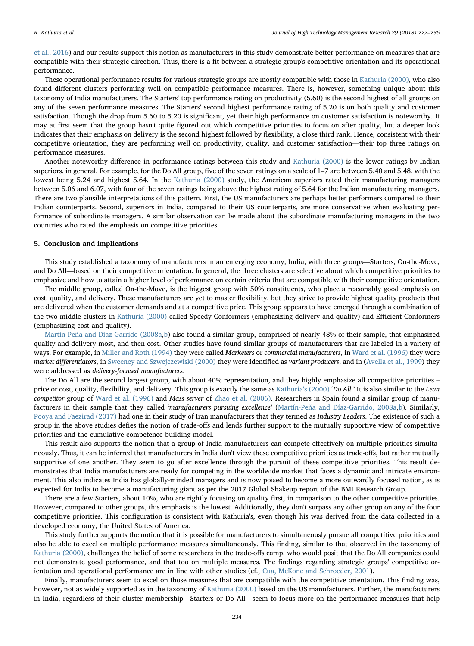[et al., 2016\)](#page-10-28) and our results support this notion as manufacturers in this study demonstrate better performance on measures that are compatible with their strategic direction. Thus, there is a fit between a strategic group's competitive orientation and its operational performance.

These operational performance results for various strategic groups are mostly compatible with those in [Kathuria \(2000\),](#page-10-15) who also found different clusters performing well on compatible performance measures. There is, however, something unique about this taxonomy of India manufacturers. The Starters' top performance rating on productivity (5.60) is the second highest of all groups on any of the seven performance measures. The Starters' second highest performance rating of 5.20 is on both quality and customer satisfaction. Though the drop from 5.60 to 5.20 is significant, yet their high performance on customer satisfaction is noteworthy. It may at first seem that the group hasn't quite figured out which competitive priorities to focus on after quality, but a deeper look indicates that their emphasis on delivery is the second highest followed by flexibility, a close third rank. Hence, consistent with their competitive orientation, they are performing well on productivity, quality, and customer satisfaction—their top three ratings on performance measures.

Another noteworthy difference in performance ratings between this study and [Kathuria \(2000\)](#page-10-15) is the lower ratings by Indian superiors, in general. For example, for the Do All group, five of the seven ratings on a scale of 1–7 are between 5.40 and 5.48, with the lowest being 5.24 and highest 5.64. In the [Kathuria \(2000\)](#page-10-15) study, the American superiors rated their manufacturing managers between 5.06 and 6.07, with four of the seven ratings being above the highest rating of 5.64 for the Indian manufacturing managers. There are two plausible interpretations of this pattern. First, the US manufacturers are perhaps better performers compared to their Indian counterparts. Second, superiors in India, compared to their US counterparts, are more conservative when evaluating performance of subordinate managers. A similar observation can be made about the subordinate manufacturing managers in the two countries who rated the emphasis on competitive priorities.

#### 5. Conclusion and implications

This study established a taxonomy of manufacturers in an emerging economy, India, with three groups—Starters, On-the-Move, and Do All—based on their competitive orientation. In general, the three clusters are selective about which competitive priorities to emphasize and how to attain a higher level of performance on certain criteria that are compatible with their competitive orientation.

The middle group, called On-the-Move, is the biggest group with 50% constituents, who place a reasonably good emphasis on cost, quality, and delivery. These manufacturers are yet to master flexibility, but they strive to provide highest quality products that are delivered when the customer demands and at a competitive price. This group appears to have emerged through a combination of the two middle clusters in [Kathuria \(2000\)](#page-10-15) called Speedy Conformers (emphasizing delivery and quality) and Efficient Conformers (emphasizing cost and quality).

[Martín-Peña and Díaz-Garrido \(2008a](#page-10-13)[,b\)](#page-10-16) also found a similar group, comprised of nearly 48% of their sample, that emphasized quality and delivery most, and then cost. Other studies have found similar groups of manufacturers that are labeled in a variety of ways. For example, in [Miller and Roth \(1994\)](#page-10-8) they were called Marketers or commercial manufacturers, in [Ward et al. \(1996\)](#page-11-11) they were market differentiators, in [Sweeney and Szwejczewlski \(2000\)](#page-11-12) they were identified as variant producers, and in ([Avella et al., 1999\)](#page-10-12) they were addressed as delivery-focused manufacturers.

The Do All are the second largest group, with about 40% representation, and they highly emphasize all competitive priorities – price or cost, quality, flexibility, and delivery. This group is exactly the same as [Kathuria's \(2000\)](#page-10-15) 'Do All.' It is also similar to the Lean competitor group of [Ward et al. \(1996\)](#page-11-11) and Mass server of [Zhao et al. \(2006\)](#page-11-8). Researchers in Spain found a similar group of manufacturers in their sample that they called 'manufacturers pursuing excellence' [\(Martín-Peña and Díaz-Garrido, 2008a,](#page-10-13)[b](#page-10-16)). Similarly, [Pooya and Faezirad \(2017\)](#page-11-13) had one in their study of Iran manufacturers that they termed as *Industry Leaders*. The existence of such a group in the above studies defies the notion of trade-offs and lends further support to the mutually supportive view of competitive priorities and the cumulative competence building model.

This result also supports the notion that a group of India manufacturers can compete effectively on multiple priorities simultaneously. Thus, it can be inferred that manufacturers in India don't view these competitive priorities as trade-offs, but rather mutually supportive of one another. They seem to go after excellence through the pursuit of these competitive priorities. This result demonstrates that India manufacturers are ready for competing in the worldwide market that faces a dynamic and intricate environment. This also indicates India has globally-minded managers and is now poised to become a more outwardly focused nation, as is expected for India to become a manufacturing giant as per the 2017 Global Shakeup report of the BMI Research Group.

There are a few Starters, about 10%, who are rightly focusing on quality first, in comparison to the other competitive priorities. However, compared to other groups, this emphasis is the lowest. Additionally, they don't surpass any other group on any of the four competitive priorities. This configuration is consistent with Kathuria's, even though his was derived from the data collected in a developed economy, the United States of America.

This study further supports the notion that it is possible for manufacturers to simultaneously pursue all competitive priorities and also be able to excel on multiple performance measures simultaneously. This finding, similar to that observed in the taxonomy of [Kathuria \(2000\),](#page-10-15) challenges the belief of some researchers in the trade-offs camp, who would posit that the Do All companies could not demonstrate good performance, and that too on multiple measures. The findings regarding strategic groups' competitive orientation and operational performance are in line with other studies (cf., [Cua, McKone and Schroeder, 2001](#page-10-29)).

Finally, manufacturers seem to excel on those measures that are compatible with the competitive orientation. This finding was, however, not as widely supported as in the taxonomy of [Kathuria \(2000\)](#page-10-15) based on the US manufacturers. Further, the manufacturers in India, regardless of their cluster membership—Starters or Do All—seem to focus more on the performance measures that help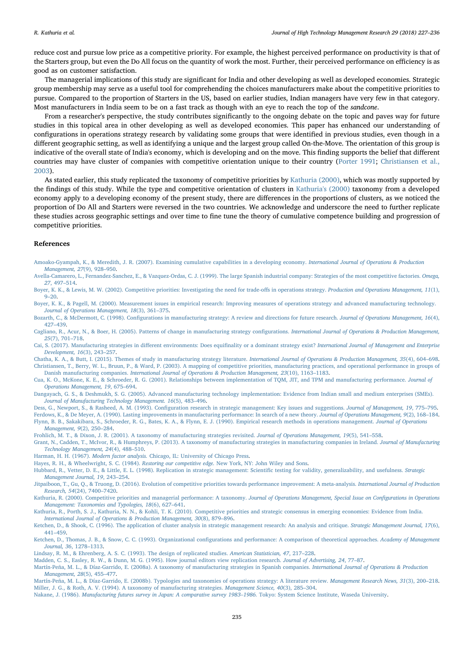reduce cost and pursue low price as a competitive priority. For example, the highest perceived performance on productivity is that of the Starters group, but even the Do All focus on the quantity of work the most. Further, their perceived performance on efficiency is as good as on customer satisfaction.

The managerial implications of this study are significant for India and other developing as well as developed economies. Strategic group membership may serve as a useful tool for comprehending the choices manufacturers make about the competitive priorities to pursue. Compared to the proportion of Starters in the US, based on earlier studies, Indian managers have very few in that category. Most manufacturers in India seem to be on a fast track as though with an eye to reach the top of the sandcone.

From a researcher's perspective, the study contributes significantly to the ongoing debate on the topic and paves way for future studies in this topical area in other developing as well as developed economies. This paper has enhanced our understanding of configurations in operations strategy research by validating some groups that were identified in previous studies, even though in a different geographic setting, as well as identifying a unique and the largest group called On-the-Move. The orientation of this group is indicative of the overall state of India's economy, which is developing and on the move. This finding supports the belief that different countries may have cluster of companies with competitive orientation unique to their country ([Porter 1991;](#page-11-9) [Christiansen et al.,](#page-10-10) [2003\)](#page-10-10).

As stated earlier, this study replicated the taxonomy of competitive priorities by [Kathuria \(2000\)](#page-10-15), which was mostly supported by the findings of this study. While the type and competitive orientation of clusters in [Kathuria's \(2000\)](#page-10-15) taxonomy from a developed economy apply to a developing economy of the present study, there are differences in the proportions of clusters, as we noticed the proportion of Do All and Starters were reversed in the two countries. We acknowledge and underscore the need to further replicate these studies across geographic settings and over time to fine tune the theory of cumulative competence building and progression of competitive priorities.

#### References

- <span id="page-10-2"></span>[Amoako-Gyampah, K., & Meredith, J. R. \(2007\). Examining cumulative capabilities in a developing economy.](http://refhub.elsevier.com/S1047-8310(18)30021-X/rf0005) International Journal of Operations & Production [Management, 27](http://refhub.elsevier.com/S1047-8310(18)30021-X/rf0005)(9), 928–950.
- <span id="page-10-12"></span>[Avella-Camarero, L., Fernandez-Sanchez, E., & Vazquez-Ordas, C. J. \(1999\). The large Spanish industrial company: Strategies of the most competitive factories.](http://refhub.elsevier.com/S1047-8310(18)30021-X/rf0010) Omega, 27[, 497](http://refhub.elsevier.com/S1047-8310(18)30021-X/rf0010)–514.
- <span id="page-10-1"></span>[Boyer, K. K., & Lewis, M. W. \(2002\). Competitive priorities: Investigating the need for trade-o](http://refhub.elsevier.com/S1047-8310(18)30021-X/rf0015)ffs in operations strategy. Production and Operations Management, 11(1), 9–[20.](http://refhub.elsevier.com/S1047-8310(18)30021-X/rf0015)
- <span id="page-10-27"></span>[Boyer, K. K., & Pagell, M. \(2000\). Measurement issues in empirical research: Improving measures of operations strategy and advanced manufacturing technology.](http://refhub.elsevier.com/S1047-8310(18)30021-X/rf0020) [Journal of Operations Management, 18](http://refhub.elsevier.com/S1047-8310(18)30021-X/rf0020)(3), 361–375.
- <span id="page-10-5"></span>Bozarth, C., & McDermott, C. (1998). Confi[gurations in manufacturing strategy: A review and directions for future research.](http://refhub.elsevier.com/S1047-8310(18)30021-X/rf0025) Journal of Operations Management, 16(4), 427–[439.](http://refhub.elsevier.com/S1047-8310(18)30021-X/rf0025)
- <span id="page-10-14"></span>[Cagliano, R., Acur, N., & Boer, H. \(2005\). Patterns of change in manufacturing strategy con](http://refhub.elsevier.com/S1047-8310(18)30021-X/rf0030)figurations. International Journal of Operations & Production Management, 25[\(7\), 701](http://refhub.elsevier.com/S1047-8310(18)30021-X/rf0030)–718.
- <span id="page-10-6"></span>Cai, S. (2017). Manufacturing strategies in different environments: Does equifinality or a dominant strategy exist? [International Journal of Management and Enterprise](http://refhub.elsevier.com/S1047-8310(18)30021-X/rf0035) [Development, 16](http://refhub.elsevier.com/S1047-8310(18)30021-X/rf0035)(3), 243–257.
- <span id="page-10-10"></span><span id="page-10-7"></span>[Chatha, K. A., & Butt, I. \(2015\). Themes of study in manufacturing strategy literature.](http://refhub.elsevier.com/S1047-8310(18)30021-X/rf0040) International Journal of Operations & Production Management, 35(4), 604–698. [Christiansen, T., Berry, W. L., Bruun, P., & Ward, P. \(2003\). A mapping of competitive priorities, manufacturing practices, and operational performance in groups of](http://refhub.elsevier.com/S1047-8310(18)30021-X/rf0045) Danish manufacturing companies. [International Journal of Operations & Production Management, 23](http://refhub.elsevier.com/S1047-8310(18)30021-X/rf0045)(10), 1163–1183.
- <span id="page-10-29"></span>[Cua, K. O., McKone, K. E., & Schroeder, R. G. \(2001\). Relationships between implementation of TQM, JIT, and TPM and manufacturing performance.](http://refhub.elsevier.com/S1047-8310(18)30021-X/rf0055) Journal of [Operations Management, 19](http://refhub.elsevier.com/S1047-8310(18)30021-X/rf0055), 675–694.
- <span id="page-10-17"></span>[Dangayach, G. S., & Deshmukh, S. G. \(2005\). Advanced manufacturing technology implementation: Evidence from Indian small and medium enterprises \(SMEs\).](http://refhub.elsevier.com/S1047-8310(18)30021-X/rf0065) [Journal of Manufacturing Technology Management. 16](http://refhub.elsevier.com/S1047-8310(18)30021-X/rf0065)(5), 483–496.
- <span id="page-10-23"></span>Dess, G., Newport, S., & Rasheed, A. M. (1993). Confi[guration research in strategic management: Key issues and suggestions.](http://refhub.elsevier.com/S1047-8310(18)30021-X/rf0070) Journal of Management, 19, 775–795.
- <span id="page-10-19"></span><span id="page-10-4"></span>[Ferdows, K., & De Meyer, A. \(1990\). Lasting improvements in manufacturing performance: In search of a new theory.](http://refhub.elsevier.com/S1047-8310(18)30021-X/rf0075) Journal of Operations Management, 9(2), 168-184. Flynn, [B. B., Sakakibara, S., Schroeder, R. G., Bates, K. A., & Flynn, E. J. \(1990\). Empirical research methods in operations management.](http://refhub.elsevier.com/S1047-8310(18)30021-X/rf0085) Journal of Operations [Management, 9](http://refhub.elsevier.com/S1047-8310(18)30021-X/rf0085)(2), 250–284.
- <span id="page-10-9"></span>[Frohlich, M. T., & Dixon, J. R. \(2001\). A taxonomy of manufacturing strategies revisited.](http://refhub.elsevier.com/S1047-8310(18)30021-X/rf0090) Journal of Operations Management, 19(5), 541–558.
- <span id="page-10-11"></span>[Grant, N., Cadden, T., McIvor, R., & Humphreys, P. \(2013\). A taxonomy of manufacturing strategies in manufacturing companies in Ireland.](http://refhub.elsevier.com/S1047-8310(18)30021-X/rf0095) Journal of Manufacturing [Technology Management, 24](http://refhub.elsevier.com/S1047-8310(18)30021-X/rf0095)(4), 488–510.
- <span id="page-10-26"></span>Harman, H. H. (1967). Modern factor analysis. [Chicago, IL: University of Chicago Press.](http://refhub.elsevier.com/S1047-8310(18)30021-X/rf0100)
- <span id="page-10-0"></span>[Hayes, R. H., & Wheelwright, S. C. \(1984\).](http://refhub.elsevier.com/S1047-8310(18)30021-X/rf0105) Restoring our competitive edge. New York, NY: John Wiley and Sons.
- <span id="page-10-22"></span>[Hubbard, R., Vetter, D. E., & Little, E. L. \(1998\). Replication in strategic management: Scienti](http://refhub.elsevier.com/S1047-8310(18)30021-X/rf0110)fic testing for validity, generalizability, and usefulness. Strategic [Management Journal, 19](http://refhub.elsevier.com/S1047-8310(18)30021-X/rf0110), 243–254.
- <span id="page-10-28"></span>[Jitpaiboon, T., Gu, Q., & Truong, D. \(2016\). Evolution of competitive priorities towards performance improvement: A meta-analysis.](http://refhub.elsevier.com/S1047-8310(18)30021-X/rf0115) International Journal of Production [Research, 54](http://refhub.elsevier.com/S1047-8310(18)30021-X/rf0115)(24), 7400–7420.
- <span id="page-10-15"></span>[Kathuria, R. \(2000\). Competitive priorities and managerial performance: A taxonomy.](http://refhub.elsevier.com/S1047-8310(18)30021-X/rf0120) Journal of Operations Management, Special Issue on Configurations in Operations [Management: Taxonomies and Typologies, 18](http://refhub.elsevier.com/S1047-8310(18)30021-X/rf0120)(6), 627–641.
- <span id="page-10-18"></span>[Kathuria, R., Porth, S. J., Kathuria, N. N., & Kohli, T. K. \(2010\). Competitive priorities and strategic consensus in emerging economies: Evidence from India.](http://refhub.elsevier.com/S1047-8310(18)30021-X/rf0125) [International Journal of Operations & Production Management, 30](http://refhub.elsevier.com/S1047-8310(18)30021-X/rf0125)(8), 879–896.
- <span id="page-10-24"></span>[Ketchen, D., & Shook, C. \(1996\). The application of cluster analysis in strategic management research: An analysis and critique.](http://refhub.elsevier.com/S1047-8310(18)30021-X/rf0130) Strategic Management Journal, 17(6), 441–[459.](http://refhub.elsevier.com/S1047-8310(18)30021-X/rf0130)
- <span id="page-10-25"></span>[Ketchen, D., Thomas, J. B., & Snow, C. C. \(1993\). Organizational con](http://refhub.elsevier.com/S1047-8310(18)30021-X/rf0135)figurations and performance: A comparison of theoretical approaches. Academy of Management [Journal, 36](http://refhub.elsevier.com/S1047-8310(18)30021-X/rf0135), 1278–1313.
- <span id="page-10-20"></span>[Lindsay, R. M., & Ehrenberg, A. S. C. \(1993\). The design of replicated studies.](http://refhub.elsevier.com/S1047-8310(18)30021-X/rf0140) American Statistician, 47, 217–228.
- <span id="page-10-21"></span>[Madden, C. S., Easley, R. W., & Dunn, M. G. \(1995\). How journal editors view replication research.](http://refhub.elsevier.com/S1047-8310(18)30021-X/rf0145) Journal of Advertising, 24, 77–87.
- <span id="page-10-13"></span>[Martín-Peña, M. L., & Díaz-Garrido, E. \(2008a\). A taxonomy of manufacturing strategies in Spanish companies.](http://refhub.elsevier.com/S1047-8310(18)30021-X/rf0150) International Journal of Operations & Production [Management, 28](http://refhub.elsevier.com/S1047-8310(18)30021-X/rf0150)(5), 455–477.
- <span id="page-10-16"></span><span id="page-10-8"></span>[Martín-Peña, M. L., & Díaz-Garrido, E. \(2008b\). Typologies and taxonomies of operations strategy: A literature review.](http://refhub.elsevier.com/S1047-8310(18)30021-X/rf0155) Management Research News, 31(3), 200–218. Miller, [J. G., & Roth, A. V. \(1994\). A taxonomy of manufacturing strategies.](http://refhub.elsevier.com/S1047-8310(18)30021-X/rf0160) Management Science, 40(3), 285–304.
- <span id="page-10-3"></span>Nakane, J. (1986). [Manufacturing futures survey in Japan: A comparative survey 1983](http://refhub.elsevier.com/S1047-8310(18)30021-X/rf0165)–1986. Tokyo: System Science Institute, Waseda University.